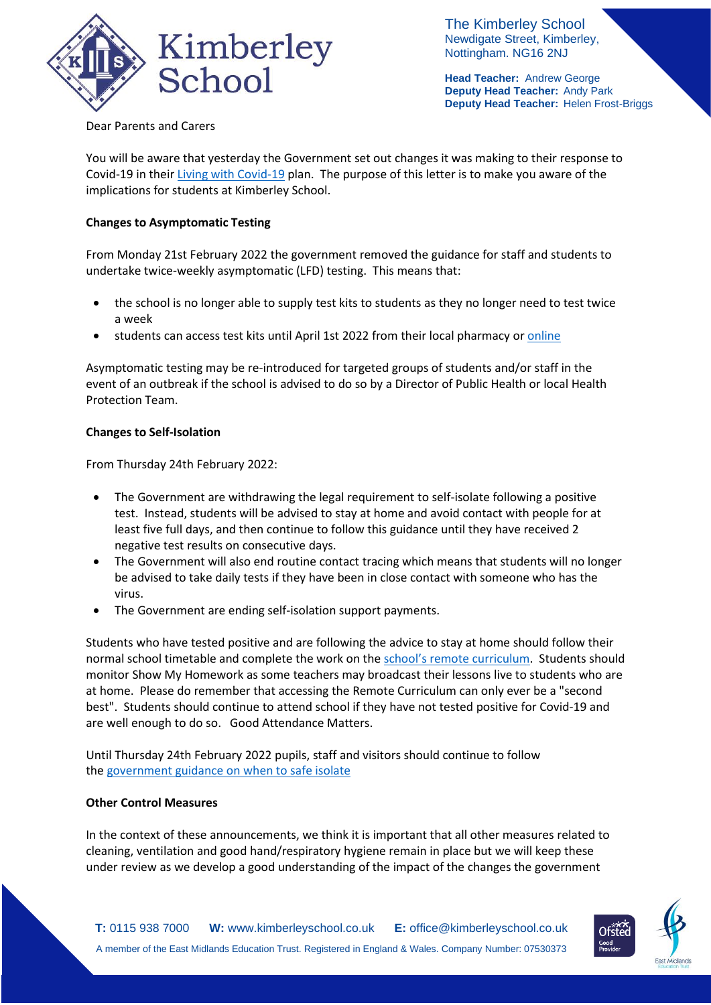

The Kimberley School Newdigate Street, Kimberley, Nottingham. NG16 2NJ

**Head Teacher:** Andrew George **Deputy Head Teacher:** Andy Park **Deputy Head Teacher:** Helen Frost-Briggs

Dear Parents and Carers

You will be aware that yesterday the Government set out changes it was making to their response to Covid-19 in thei[r Living with Covid-19](https://www.gov.uk/government/publications/covid-19-response-living-with-covid-19?utm_source=21%20February%202022%20C19&utm_medium=Daily%20Email%20C19&utm_campaign=DfE%20C19) plan. The purpose of this letter is to make you aware of the implications for students at Kimberley School.

## **Changes to Asymptomatic Testing**

From Monday 21st February 2022 the government removed the guidance for staff and students to undertake twice-weekly asymptomatic (LFD) testing. This means that:

- the school is no longer able to supply test kits to students as they no longer need to test twice a week
- students can access test kits until April 1st 2022 from their local pharmacy or [online](https://www.gov.uk/order-coronavirus-rapid-lateral-flow-tests?utm_source=21%20February%202022%20C19&utm_medium=Daily%20Email%20C19&utm_campaign=DfE%20C19)

Asymptomatic testing may be re-introduced for targeted groups of students and/or staff in the event of an outbreak if the school is advised to do so by a Director of Public Health or local Health Protection Team.

## **Changes to Self-Isolation**

From Thursday 24th February 2022:

- The Government are withdrawing the legal requirement to self-isolate following a positive test. Instead, students will be advised to stay at home and avoid contact with people for at least five full days, and then continue to follow this guidance until they have received 2 negative test results on consecutive days.
- The Government will also end routine contact tracing which means that students will no longer be advised to take daily tests if they have been in close contact with someone who has the virus.
- The Government are ending self-isolation support payments.

Students who have tested positive and are following the advice to stay at home should follow their normal school timetable and complete the work on the school's remote [curriculum.](https://www.kimberleyschool.co.uk/remotecurriculum) Students should monitor Show My Homework as some teachers may broadcast their lessons live to students who are at home. Please do remember that accessing the Remote Curriculum can only ever be a "second best". Students should continue to attend school if they have not tested positive for Covid-19 and are well enough to do so. Good Attendance Matters.

Until Thursday 24th February 2022 pupils, staff and visitors should continue to follow the [government](https://www.nhs.uk/conditions/coronavirus-covid-19/self-isolation-and-treatment/when-to-self-isolate-and-what-to-do/) guidance on when to safe isolate

## **Other Control Measures**

In the context of these announcements, we think it is important that all other measures related to cleaning, ventilation and good hand/respiratory hygiene remain in place but we will keep these under review as we develop a good understanding of the impact of the changes the government